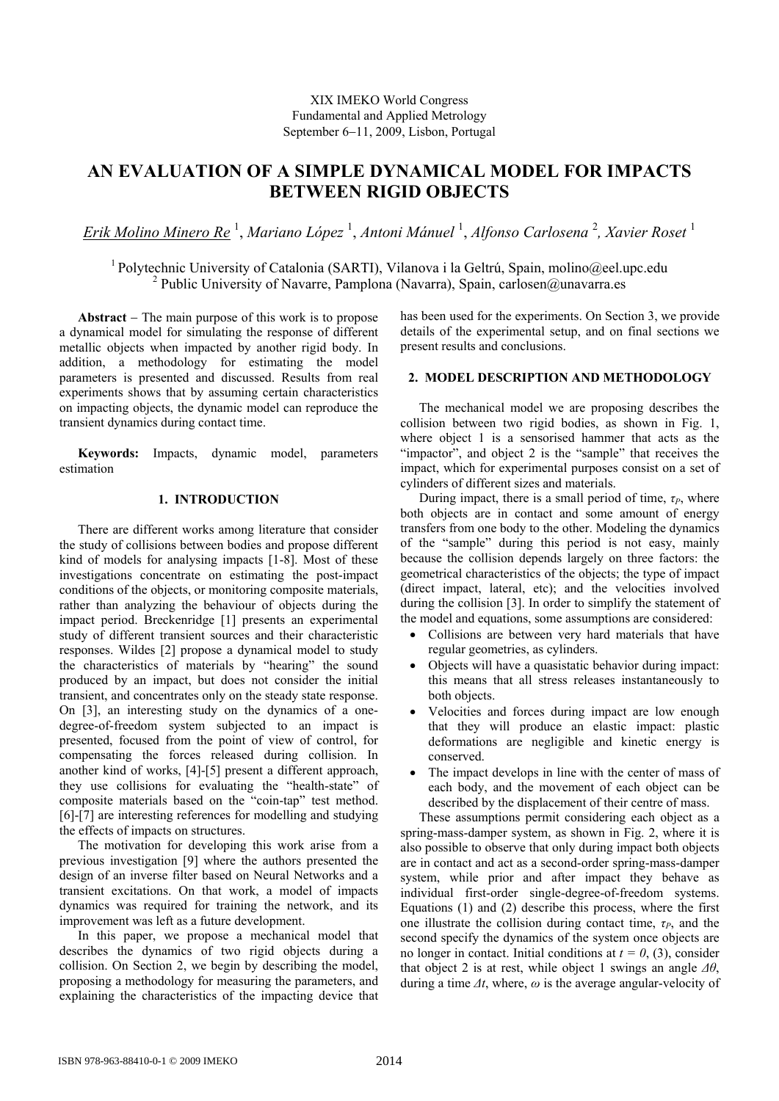# **AN EVALUATION OF A SIMPLE DYNAMICAL MODEL FOR IMPACTS BETWEEN RIGID OBJECTS**

*Erik Molino Minero Re* <sup>1</sup> , *Mariano López* <sup>1</sup> , *Antoni Mánuel* <sup>1</sup> , *Alfonso Carlosena* <sup>2</sup> *, Xavier Roset* <sup>1</sup>

<sup>1</sup> Polytechnic University of Catalonia (SARTI), Vilanova i la Geltrú, Spain, molino@eel.upc.edu <sup>2</sup> Public University of Navarre, Pamplona (Navarra), Spain, carlosen@unavarra.es

**Abstract** − The main purpose of this work is to propose a dynamical model for simulating the response of different metallic objects when impacted by another rigid body. In addition, a methodology for estimating the model parameters is presented and discussed. Results from real experiments shows that by assuming certain characteristics on impacting objects, the dynamic model can reproduce the transient dynamics during contact time.

**Keywords:** Impacts, dynamic model, parameters estimation

## **1. INTRODUCTION**

There are different works among literature that consider the study of collisions between bodies and propose different kind of models for analysing impacts [1-8]. Most of these investigations concentrate on estimating the post-impact conditions of the objects, or monitoring composite materials, rather than analyzing the behaviour of objects during the impact period. Breckenridge [1] presents an experimental study of different transient sources and their characteristic responses. Wildes [2] propose a dynamical model to study the characteristics of materials by "hearing" the sound produced by an impact, but does not consider the initial transient, and concentrates only on the steady state response. On [3], an interesting study on the dynamics of a onedegree-of-freedom system subjected to an impact is presented, focused from the point of view of control, for compensating the forces released during collision. In another kind of works, [4]-[5] present a different approach, they use collisions for evaluating the "health-state" of composite materials based on the "coin-tap" test method. [6]-[7] are interesting references for modelling and studying the effects of impacts on structures.

The motivation for developing this work arise from a previous investigation [9] where the authors presented the design of an inverse filter based on Neural Networks and a transient excitations. On that work, a model of impacts dynamics was required for training the network, and its improvement was left as a future development.

In this paper, we propose a mechanical model that describes the dynamics of two rigid objects during a collision. On Section 2, we begin by describing the model, proposing a methodology for measuring the parameters, and explaining the characteristics of the impacting device that has been used for the experiments. On Section 3, we provide details of the experimental setup, and on final sections we present results and conclusions.

### **2. MODEL DESCRIPTION AND METHODOLOGY**

The mechanical model we are proposing describes the collision between two rigid bodies, as shown in Fig. 1, where object 1 is a sensorised hammer that acts as the "impactor", and object 2 is the "sample" that receives the impact, which for experimental purposes consist on a set of cylinders of different sizes and materials.

During impact, there is a small period of time,  $\tau_P$ , where both objects are in contact and some amount of energy transfers from one body to the other. Modeling the dynamics of the "sample" during this period is not easy, mainly because the collision depends largely on three factors: the geometrical characteristics of the objects; the type of impact (direct impact, lateral, etc); and the velocities involved during the collision [3]. In order to simplify the statement of the model and equations, some assumptions are considered:

- Collisions are between very hard materials that have regular geometries, as cylinders.
- Objects will have a quasistatic behavior during impact: this means that all stress releases instantaneously to both objects.
- Velocities and forces during impact are low enough that they will produce an elastic impact: plastic deformations are negligible and kinetic energy is conserved.
- The impact develops in line with the center of mass of each body, and the movement of each object can be described by the displacement of their centre of mass.

These assumptions permit considering each object as a spring-mass-damper system, as shown in Fig. 2, where it is also possible to observe that only during impact both objects are in contact and act as a second-order spring-mass-damper system, while prior and after impact they behave as individual first-order single-degree-of-freedom systems. Equations (1) and (2) describe this process, where the first one illustrate the collision during contact time,  $\tau_P$ , and the second specify the dynamics of the system once objects are no longer in contact. Initial conditions at  $t = 0$ , (3), consider that object 2 is at rest, while object 1 swings an angle *Δθ*, during a time *Δt*, where, *ω* is the average angular-velocity of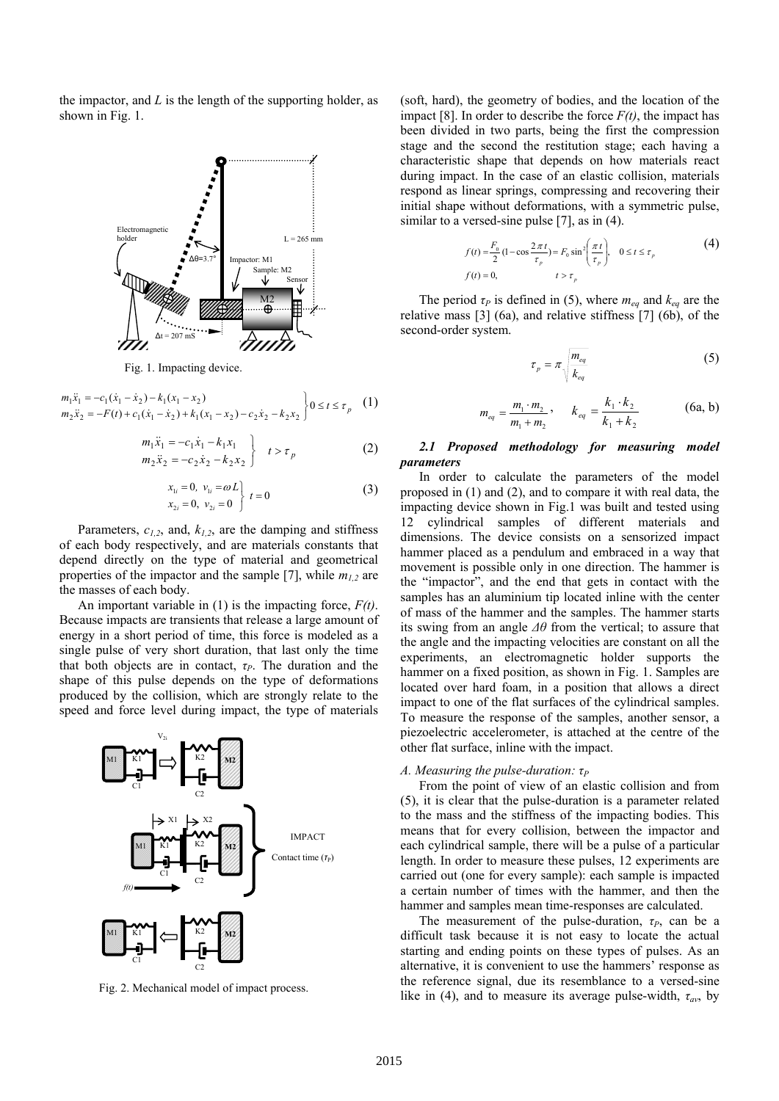the impactor, and *L* is the length of the supporting holder, as shown in Fig. 1.



Fig. 1. Impacting device.

$$
m_1\ddot{x}_1 = -c_1(\dot{x}_1 - \dot{x}_2) - k_1(x_1 - x_2)
$$
  
\n
$$
m_2\ddot{x}_2 = -F(t) + c_1(\dot{x}_1 - \dot{x}_2) + k_1(x_1 - x_2) - c_2\dot{x}_2 - k_2x_2
$$
  
\n
$$
0 \le t \le \tau_p
$$
 (1)

$$
m_1\ddot{x}_1 = -c_1\dot{x}_1 - k_1x_1 \nm_2\ddot{x}_2 = -c_2\dot{x}_2 - k_2x_2
$$
  $t > \tau_p$  (2)

$$
x_{1i} = 0, v_{1i} = \omega L \n x_{2i} = 0, v_{2i} = 0
$$
\n(3)

Parameters,  $c_{1,2}$ , and,  $k_{1,2}$ , are the damping and stiffness of each body respectively, and are materials constants that depend directly on the type of material and geometrical properties of the impactor and the sample [7], while  $m_{1,2}$  are the masses of each body.

An important variable in (1) is the impacting force, *F(t)*. Because impacts are transients that release a large amount of energy in a short period of time, this force is modeled as a single pulse of very short duration, that last only the time that both objects are in contact,  $\tau_P$ . The duration and the shape of this pulse depends on the type of deformations produced by the collision, which are strongly relate to the speed and force level during impact, the type of materials



Fig. 2. Mechanical model of impact process.

(soft, hard), the geometry of bodies, and the location of the impact [8]. In order to describe the force  $F(t)$ , the impact has been divided in two parts, being the first the compression stage and the second the restitution stage; each having a characteristic shape that depends on how materials react during impact. In the case of an elastic collision, materials respond as linear springs, compressing and recovering their initial shape without deformations, with a symmetric pulse, similar to a versed-sine pulse [7], as in (4).

$$
f(t) = \frac{F_0}{2} (1 - \cos \frac{2\pi t}{\tau_p}) = F_0 \sin^2 \left(\frac{\pi t}{\tau_p}\right), \quad 0 \le t \le \tau_p
$$
\n
$$
f(t) = 0, \qquad t > \tau_p
$$
\n(4)

The period  $\tau_P$  is defined in (5), where  $m_{eq}$  and  $k_{eq}$  are the relative mass [3] (6a), and relative stiffness [7] (6b), of the second-order system.

$$
\tau_p = \pi \sqrt{\frac{m_{eq}}{k_{eq}}} \tag{5}
$$

$$
m_{eq} = \frac{m_1 \cdot m_2}{m_1 + m_2}, \qquad k_{eq} = \frac{k_1 \cdot k_2}{k_1 + k_2} \tag{6a, b}
$$

### *2.1 Proposed methodology for measuring model parameters*

In order to calculate the parameters of the model proposed in (1) and (2), and to compare it with real data, the impacting device shown in Fig.1 was built and tested using 12 cylindrical samples of different materials and dimensions. The device consists on a sensorized impact hammer placed as a pendulum and embraced in a way that movement is possible only in one direction. The hammer is the "impactor", and the end that gets in contact with the samples has an aluminium tip located inline with the center of mass of the hammer and the samples. The hammer starts its swing from an angle *Δθ* from the vertical; to assure that the angle and the impacting velocities are constant on all the experiments, an electromagnetic holder supports the hammer on a fixed position, as shown in Fig. 1. Samples are located over hard foam, in a position that allows a direct impact to one of the flat surfaces of the cylindrical samples. To measure the response of the samples, another sensor, a piezoelectric accelerometer, is attached at the centre of the other flat surface, inline with the impact.

#### *A. Measuring the pulse-duration: τ*<sup>*P*</sup>

From the point of view of an elastic collision and from (5), it is clear that the pulse-duration is a parameter related to the mass and the stiffness of the impacting bodies. This means that for every collision, between the impactor and each cylindrical sample, there will be a pulse of a particular length. In order to measure these pulses, 12 experiments are carried out (one for every sample): each sample is impacted a certain number of times with the hammer, and then the hammer and samples mean time-responses are calculated.

The measurement of the pulse-duration,  $\tau_P$ , can be a difficult task because it is not easy to locate the actual starting and ending points on these types of pulses. As an alternative, it is convenient to use the hammers' response as the reference signal, due its resemblance to a versed-sine like in (4), and to measure its average pulse-width,  $\tau_{av}$ , by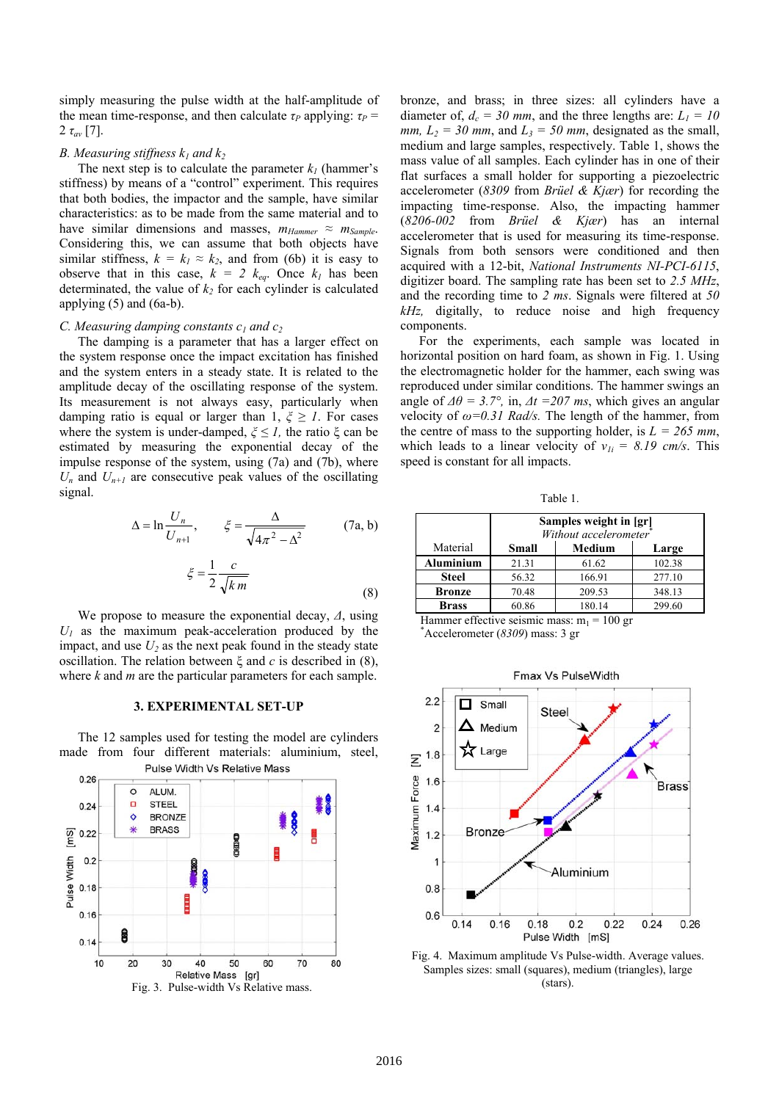simply measuring the pulse width at the half-amplitude of the mean time-response, and then calculate  $\tau_P$  applying:  $\tau_P$  = 2  $\tau_{av}$  [7].

#### *B. Measuring stiffness*  $k_1$  *and*  $k_2$

The next step is to calculate the parameter  $k_l$  (hammer's stiffness) by means of a "control" experiment. This requires that both bodies, the impactor and the sample, have similar characteristics: as to be made from the same material and to have similar dimensions and masses,  $m_{Hammer} \approx m_{Sample}$ . Considering this, we can assume that both objects have similar stiffness,  $k = k_1 \approx k_2$ , and from (6b) it is easy to observe that in this case,  $k = 2$   $k_{eq}$ . Once  $k_l$  has been determinated, the value of  $k_2$  for each cylinder is calculated applying  $(5)$  and  $(6a-b)$ .

#### *C. Measuring damping constants c<sub>1</sub> and c<sub>2</sub>*

The damping is a parameter that has a larger effect on the system response once the impact excitation has finished and the system enters in a steady state. It is related to the amplitude decay of the oscillating response of the system. Its measurement is not always easy, particularly when damping ratio is equal or larger than 1, *ξ ≥ 1*. For cases where the system is under-damped,  $\xi \leq 1$ , the ratio  $\xi$  can be estimated by measuring the exponential decay of the impulse response of the system, using (7a) and (7b), where  $U_n$  and  $U_{n+1}$  are consecutive peak values of the oscillating signal.

$$
\Delta = \ln \frac{U_n}{U_{n+1}}, \qquad \xi = \frac{\Delta}{\sqrt{4\pi^2 - \Delta^2}} \tag{7a, b}
$$

$$
\xi = \frac{1}{2} \frac{c}{\sqrt{km}}\tag{8}
$$

We propose to measure the exponential decay, *Δ*, using  $U_1$  as the maximum peak-acceleration produced by the impact, and use  $U_2$  as the next peak found in the steady state oscillation. The relation between ξ and *c* is described in (8), where *k* and *m* are the particular parameters for each sample.

#### **3. EXPERIMENTAL SET-UP**

The 12 samples used for testing the model are cylinders made from four different materials: aluminium, steel,



bronze, and brass; in three sizes: all cylinders have a diameter of,  $d_c = 30$  mm, and the three lengths are:  $L_l = 10$ *mm,*  $L_2 = 30$  *mm,* and  $L_3 = 50$  *mm,* designated as the small, medium and large samples, respectively. Table 1, shows the mass value of all samples. Each cylinder has in one of their flat surfaces a small holder for supporting a piezoelectric accelerometer (*8309* from *Brüel & Kjær*) for recording the impacting time-response. Also, the impacting hammer (*8206-002* from *Brüel & Kjær*) has an internal accelerometer that is used for measuring its time-response. Signals from both sensors were conditioned and then acquired with a 12-bit, *National Instruments NI-PCI-6115*, digitizer board. The sampling rate has been set to *2.5 MHz*, and the recording time to *2 ms*. Signals were filtered at *50 kHz,* digitally, to reduce noise and high frequency components.

For the experiments, each sample was located in horizontal position on hard foam, as shown in Fig. 1. Using the electromagnetic holder for the hammer, each swing was reproduced under similar conditions. The hammer swings an angle of  $\Delta\theta = 3.7^{\circ}$ , in,  $\Delta t = 207$  ms, which gives an angular velocity of *ω=0.31 Rad/s.* The length of the hammer, from the centre of mass to the supporting holder, is  $L = 265$  mm, which leads to a linear velocity of  $v_{1i} = 8.19$  cm/s. This speed is constant for all impacts.

Table 1.

|              | Samples weight in [gr]<br>Without accelerometer |        |        |
|--------------|-------------------------------------------------|--------|--------|
| Material     | Small                                           | Medium | Large  |
| Aluminium    | 21.31                                           | 61.62  | 102.38 |
| <b>Steel</b> | 56.32                                           | 166.91 | 277.10 |
| Bronze       | 70.48                                           | 209.53 | 348.13 |
| Brass        | 60.86                                           | 180.14 | 299.60 |

Hammer effective seismic mass:  $m_1 = 100$  gr Accelerometer (*8309*) mass: 3 gr



Fig. 4. Maximum amplitude Vs Pulse-width. Average values. Samples sizes: small (squares), medium (triangles), large (stars).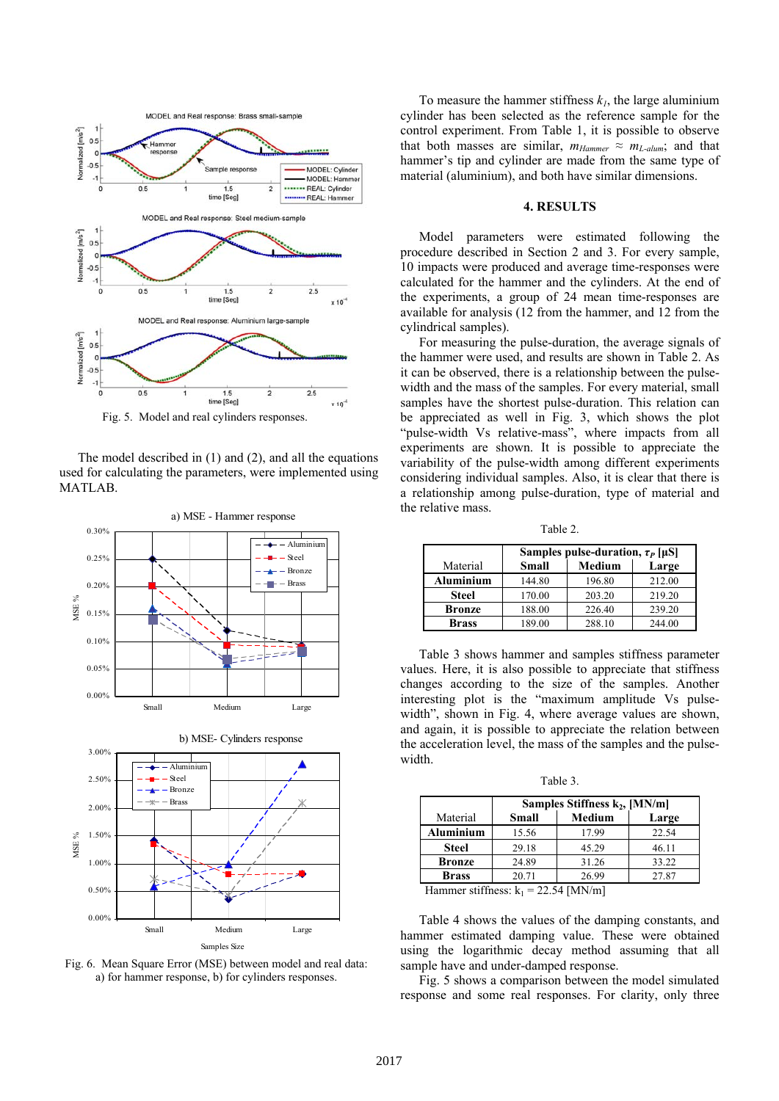![](_page_3_Figure_0.jpeg)

Fig. 5. Model and real cylinders responses.

The model described in (1) and (2), and all the equations used for calculating the parameters, were implemented using MATLAB.

![](_page_3_Figure_3.jpeg)

Fig. 6. Mean Square Error (MSE) between model and real data: a) for hammer response, b) for cylinders responses.

To measure the hammer stiffness  $k_l$ , the large aluminium cylinder has been selected as the reference sample for the control experiment. From Table 1, it is possible to observe that both masses are similar,  $m_{Hammer} \approx m_{L-dum}$ ; and that hammer's tip and cylinder are made from the same type of material (aluminium), and both have similar dimensions.

#### **4. RESULTS**

Model parameters were estimated following the procedure described in Section 2 and 3. For every sample, 10 impacts were produced and average time-responses were calculated for the hammer and the cylinders. At the end of the experiments, a group of 24 mean time-responses are available for analysis (12 from the hammer, and 12 from the cylindrical samples).

For measuring the pulse-duration, the average signals of the hammer were used, and results are shown in Table 2. As it can be observed, there is a relationship between the pulsewidth and the mass of the samples. For every material, small samples have the shortest pulse-duration. This relation can be appreciated as well in Fig. 3, which shows the plot "pulse-width Vs relative-mass", where impacts from all experiments are shown. It is possible to appreciate the variability of the pulse-width among different experiments considering individual samples. Also, it is clear that there is a relationship among pulse-duration, type of material and the relative mass.

Table 2.

|                  | Samples pulse-duration, $\tau_P$ [µS] |               |        |
|------------------|---------------------------------------|---------------|--------|
| Material         | <b>Small</b>                          | <b>Medium</b> | Large  |
| <b>Aluminium</b> | 144.80                                | 196.80        | 212.00 |
| <b>Steel</b>     | 170.00                                | 203.20        | 219.20 |
| <b>Bronze</b>    | 188.00                                | 226.40        | 239.20 |
| Brass            | 189.00                                | 288.10        | 244.00 |

Table 3 shows hammer and samples stiffness parameter values. Here, it is also possible to appreciate that stiffness changes according to the size of the samples. Another interesting plot is the "maximum amplitude Vs pulsewidth", shown in Fig. 4, where average values are shown, and again, it is possible to appreciate the relation between the acceleration level, the mass of the samples and the pulsewidth.

Table 3.

|                  | Samples Stiffness k <sub>2</sub> , [MN/m] |        |       |
|------------------|-------------------------------------------|--------|-------|
| Material         | <b>Small</b>                              | Medium | Large |
| <b>Aluminium</b> | 15.56                                     | 17.99  | 22.54 |
| Steel            | 29.18                                     | 45.29  | 46.11 |
| <b>Bronze</b>    | 24.89                                     | 31.26  | 33.22 |
| <b>Brass</b>     | 20.71                                     | 26.99  | 27.87 |

Hammer stiffness:  $k_1 = 22.54$  [MN/m]

Table 4 shows the values of the damping constants, and hammer estimated damping value. These were obtained using the logarithmic decay method assuming that all sample have and under-damped response.

Fig. 5 shows a comparison between the model simulated response and some real responses. For clarity, only three